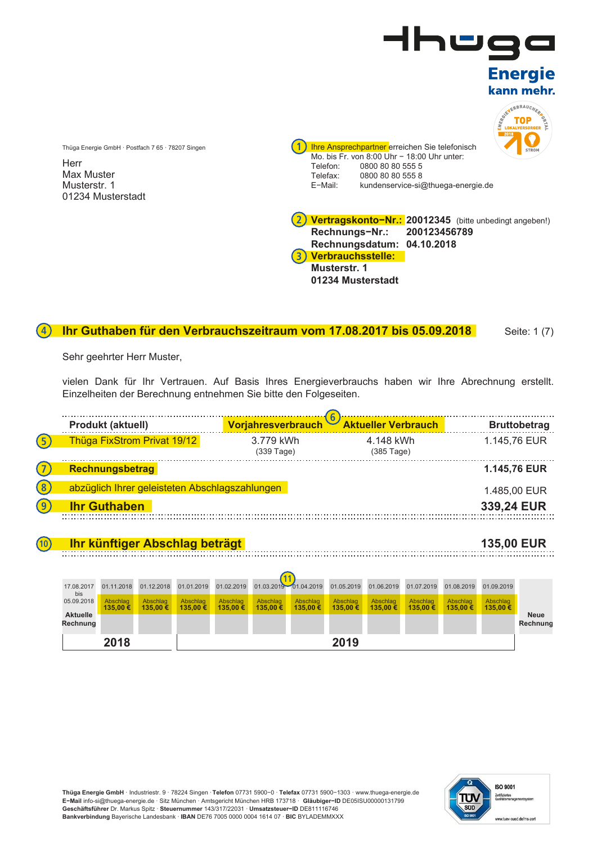

### **Ihr Guthaben für den Verbrauchszeitraum vom 17.08.2017 bis 05.09.2018** Seite: 1 (7) **4**

Sehr geehrter Herr Muster,

Thüga Energie GmbH · Postfach 7 65 · 78207 Singen

**Herr** Max Muster Musterstr. 1 01234 Musterstadt

vielen Dank für Ihr Vertrauen. Auf Basis Ihres Energieverbrauchs haben wir Ihre Abrechnung erstellt. Einzelheiten der Berechnung entnehmen Sie bitte den Folgeseiten.



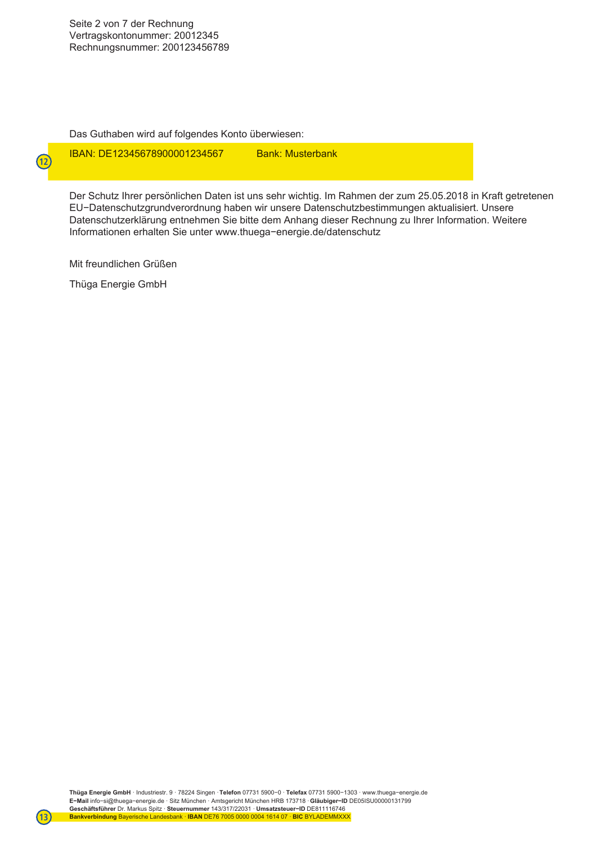Das Guthaben wird auf folgendes Konto überwiesen:

**IBAN: DE12345678900001234567 Bank: Musterbank** 

Der Schutz Ihrer persönlichen Daten ist uns sehr wichtig. Im Rahmen der zum 25.05.2018 in Kraft getretenen EU−Datenschutzgrundverordnung haben wir unsere Datenschutzbestimmungen aktualisiert. Unsere Datenschutzerklärung entnehmen Sie bitte dem Anhang dieser Rechnung zu Ihrer Information. Weitere Informationen erhalten Sie unter www.thuega−energie.de/datenschutz

Mit freundlichen Grüßen

Thüga Energie GmbH

**12**

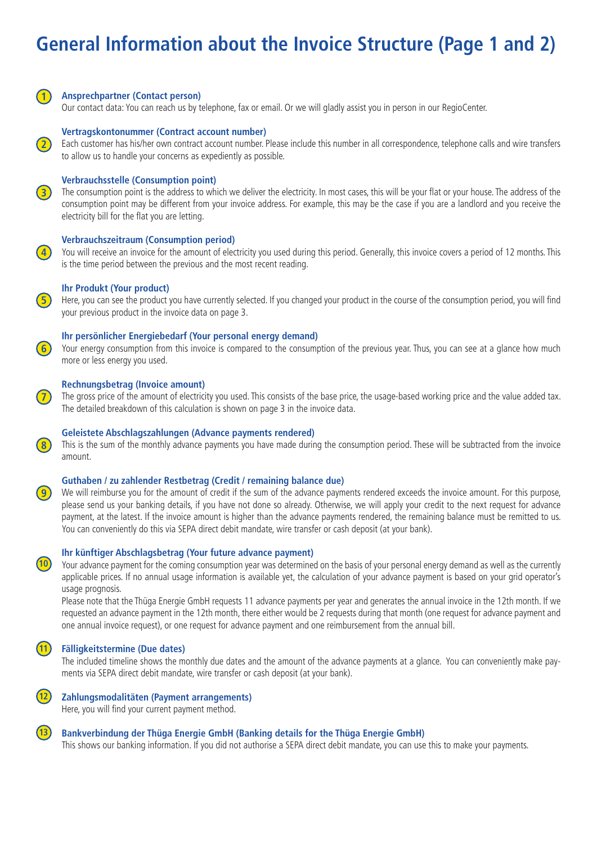# **General Information about the Invoice Structure (Page 1 and 2)**



**2**

## **Ansprechpartner (Contact person)**

Our contact data: You can reach us by telephone, fax or email. Or we will gladly assist you in person in our RegioCenter.

# **Vertragskontonummer (Contract account number)**

Each customer has his/her own contract account number. Please include this number in all correspondence, telephone calls and wire transfers to allow us to handle your concerns as expediently as possible.

# **Verbrauchsstelle (Consumption point)**

**3**) The consumption point is the address to which we deliver the electricity. In most cases, this will be your flat or your house. The address of the consumption point may be different from your invoice address. For example, this may be the case if you are a landlord and you receive the electricity bill for the flat you are letting.



You will receive an invoice for the amount of electricity you used during this period. Generally, this invoice covers a period of 12 months. This is the time period between the previous and the most recent reading.

## **Ihr Produkt (Your product)**

Here, you can see the product you have currently selected. If you changed your product in the course of the consumption period, you will find your previous product in the invoice data on page 3.

# **Ihr persönlicher Energiebedarf (Your personal energy demand)**

Your energy consumption from this invoice is compared to the consumption of the previous year. Thus, you can see at a glance how much more or less energy you used.

# **Rechnungsbetrag (Invoice amount)**

**7** The gross price of the amount of electricity you used. This consists of the base price, the usage-based working price and the value added tax. The detailed breakdown of this calculation is shown on page 3 in the invoice data.

# **Geleistete Abschlagszahlungen (Advance payments rendered)**

8) This is the sum of the monthly advance payments you have made during the consumption period. These will be subtracted from the invoice amount.

## **Guthaben / zu zahlender Restbetrag (Credit / remaining balance due)**

We will reimburse you for the amount of credit if the sum of the advance payments rendered exceeds the invoice amount. For this purpose, please send us your banking details, if you have not done so already. Otherwise, we will apply your credit to the next request for advance payment, at the latest. If the invoice amount is higher than the advance payments rendered, the remaining balance must be remitted to us. You can conveniently do this via SEPA direct debit mandate, wire transfer or cash deposit (at your bank).

# **Ihr künftiger Abschlagsbetrag (Your future advance payment)**

Your advance payment for the coming consumption year was determined on the basis of your personal energy demand as well as the currently applicable prices. If no annual usage information is available yet, the calculation of your advance payment is based on your grid operator's usage prognosis.

Please note that the Thüga Energie GmbH requests 11 advance payments per year and generates the annual invoice in the 12th month. If we requested an advance payment in the 12th month, there either would be 2 requests during that month (one request for advance payment and one annual invoice request), or one request for advance payment and one reimbursement from the annual bill.

#### **11 Fälligkeitstermine (Due dates)**

The included timeline shows the monthly due dates and the amount of the advance payments at a glance. You can conveniently make payments via SEPA direct debit mandate, wire transfer or cash deposit (at your bank).



# **Zahlungsmodalitäten (Payment arrangements)**

Here, you will find your current payment method.

### **13 Bankverbindung der Thüga Energie GmbH (Banking details for the Thüga Energie GmbH)**

This shows our banking information. If you did not authorise a SEPA direct debit mandate, you can use this to make your payments.



**9**

**10**

**4**

**5**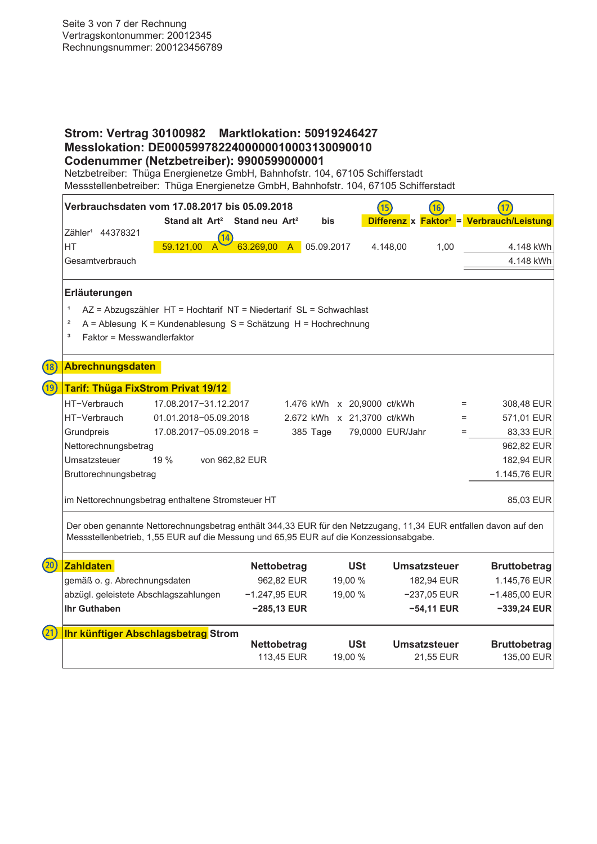# **Strom: Vertrag 30100982 Marktlokation: 50919246427 Messlokation: DE0005997822400000010003130090010 Codenummer (Netzbetreiber): 9900599000001**

Netzbetreiber: Thüga Energienetze GmbH, Bahnhofstr. 104, 67105 Schifferstadt Messstellenbetreiber: Thüga Energienetze GmbH, Bahnhofstr. 104, 67105 Schifferstadt

| Verbrauchsdaten vom 17.08.2017 bis 05.09.2018                                                                                                                                                                                                                                                                                                                                                                           | Stand alt Art <sup>2</sup> Stand neu Art <sup>2</sup>              |                    | bis                        |                  |               |                     | Differenz x Faktor <sup>3</sup> = Verbrauch/Leistung |
|-------------------------------------------------------------------------------------------------------------------------------------------------------------------------------------------------------------------------------------------------------------------------------------------------------------------------------------------------------------------------------------------------------------------------|--------------------------------------------------------------------|--------------------|----------------------------|------------------|---------------|---------------------|------------------------------------------------------|
| Zähler <sup>1</sup> 44378321                                                                                                                                                                                                                                                                                                                                                                                            |                                                                    |                    |                            |                  |               |                     |                                                      |
| <b>HT</b>                                                                                                                                                                                                                                                                                                                                                                                                               | 59.121,00<br>$\mathsf{A}$                                          | 63.269,00          | 05.09.2017<br>$\mathsf{A}$ |                  | 4.148,00      | 1,00                | 4.148 kWh                                            |
| Gesamtverbrauch                                                                                                                                                                                                                                                                                                                                                                                                         |                                                                    |                    |                            |                  |               |                     | 4.148 kWh                                            |
| Erläuterungen                                                                                                                                                                                                                                                                                                                                                                                                           |                                                                    |                    |                            |                  |               |                     |                                                      |
| $\mathbf{1}$                                                                                                                                                                                                                                                                                                                                                                                                            | AZ = Abzugszähler HT = Hochtarif NT = Niedertarif SL = Schwachlast |                    |                            |                  |               |                     |                                                      |
| $\mathbf{2}% =\mathbf{2}+\mathbf{2}+\mathbf{3}+\mathbf{4}+\mathbf{5}+\mathbf{5}+\mathbf{5}+\mathbf{6}+\mathbf{6}+\mathbf{5}+\mathbf{5}+\mathbf{6}+\mathbf{5}+\mathbf{6}+\mathbf{6}+\mathbf{5}+\mathbf{5}+\mathbf{6}+\mathbf{6}+\mathbf{6}+\mathbf{5}+\mathbf{5}+\mathbf{6}+\mathbf{6}+\mathbf{6}+\mathbf{6}+\mathbf{6}+\mathbf{5}+\mathbf{6}+\mathbf{6}+\mathbf{6}+\mathbf{6}+\mathbf{6}+\mathbf{6}+\mathbf{6}+\mathbf$ | A = Ablesung K = Kundenablesung S = Schätzung H = Hochrechnung     |                    |                            |                  |               |                     |                                                      |
| Faktor = Messwandlerfaktor<br>з                                                                                                                                                                                                                                                                                                                                                                                         |                                                                    |                    |                            |                  |               |                     |                                                      |
|                                                                                                                                                                                                                                                                                                                                                                                                                         |                                                                    |                    |                            |                  |               |                     |                                                      |
| <b>Abrechnungsdaten</b><br>(18)                                                                                                                                                                                                                                                                                                                                                                                         |                                                                    |                    |                            |                  |               |                     |                                                      |
| (19)<br><b>Tarif: Thüga FixStrom Privat 19/12</b>                                                                                                                                                                                                                                                                                                                                                                       |                                                                    |                    |                            |                  |               |                     |                                                      |
| HT-Verbrauch                                                                                                                                                                                                                                                                                                                                                                                                            | 17.08.2017-31.12.2017                                              |                    | 1.476 kWh x 20,9000 ct/kWh |                  |               |                     | 308,48 EUR<br>$=$                                    |
| HT-Verbrauch                                                                                                                                                                                                                                                                                                                                                                                                            | 01.01.2018-05.09.2018                                              |                    | 2.672 kWh x 21,3700 ct/kWh |                  |               |                     | 571,01 EUR<br>$=$                                    |
| Grundpreis                                                                                                                                                                                                                                                                                                                                                                                                              | $17.08.2017 - 05.09.2018 =$                                        |                    | 385 Tage                   | 79,0000 EUR/Jahr |               |                     | 83,33 EUR                                            |
| Nettorechnungsbetrag                                                                                                                                                                                                                                                                                                                                                                                                    |                                                                    |                    |                            |                  |               |                     | 962,82 EUR                                           |
| Umsatzsteuer                                                                                                                                                                                                                                                                                                                                                                                                            | 19 %<br>von 962,82 EUR                                             |                    |                            |                  |               |                     | 182,94 EUR                                           |
| Bruttorechnungsbetrag                                                                                                                                                                                                                                                                                                                                                                                                   |                                                                    |                    |                            |                  |               |                     | 1.145,76 EUR                                         |
|                                                                                                                                                                                                                                                                                                                                                                                                                         |                                                                    |                    |                            |                  |               |                     |                                                      |
| im Nettorechnungsbetrag enthaltene Stromsteuer HT                                                                                                                                                                                                                                                                                                                                                                       |                                                                    |                    |                            |                  |               |                     | 85,03 EUR                                            |
| Der oben genannte Nettorechnungsbetrag enthält 344,33 EUR für den Netzzugang, 11,34 EUR entfallen davon auf den<br>Messstellenbetrieb, 1,55 EUR auf die Messung und 65,95 EUR auf die Konzessionsabgabe.                                                                                                                                                                                                                |                                                                    |                    |                            |                  |               |                     |                                                      |
| (20)<br><b>Zahldaten</b>                                                                                                                                                                                                                                                                                                                                                                                                |                                                                    | <b>Nettobetrag</b> |                            | <b>USt</b>       |               | <b>Umsatzsteuer</b> | <b>Bruttobetrag</b>                                  |
| gemäß o. g. Abrechnungsdaten                                                                                                                                                                                                                                                                                                                                                                                            |                                                                    | 962,82 EUR         |                            | 19,00 %          |               | 182,94 EUR          | 1.145,76 EUR                                         |
| abzügl. geleistete Abschlagszahlungen                                                                                                                                                                                                                                                                                                                                                                                   |                                                                    | $-1.247,95$ EUR    |                            | 19,00 %          | $-237,05$ EUR |                     | $-1.485,00$ EUR                                      |
| Ihr Guthaben                                                                                                                                                                                                                                                                                                                                                                                                            |                                                                    | $-285,13$ EUR      |                            |                  |               | $-54,11$ EUR        | $-339,24$ EUR                                        |
| Ihr künftiger Abschlagsbetrag Strom                                                                                                                                                                                                                                                                                                                                                                                     |                                                                    | <b>Nettobetrag</b> |                            | <b>USt</b>       |               | <b>Umsatzsteuer</b> | <b>Bruttobetrag</b>                                  |

113,45 EUR 19,00 % 21,55 EUR 135,00 EUR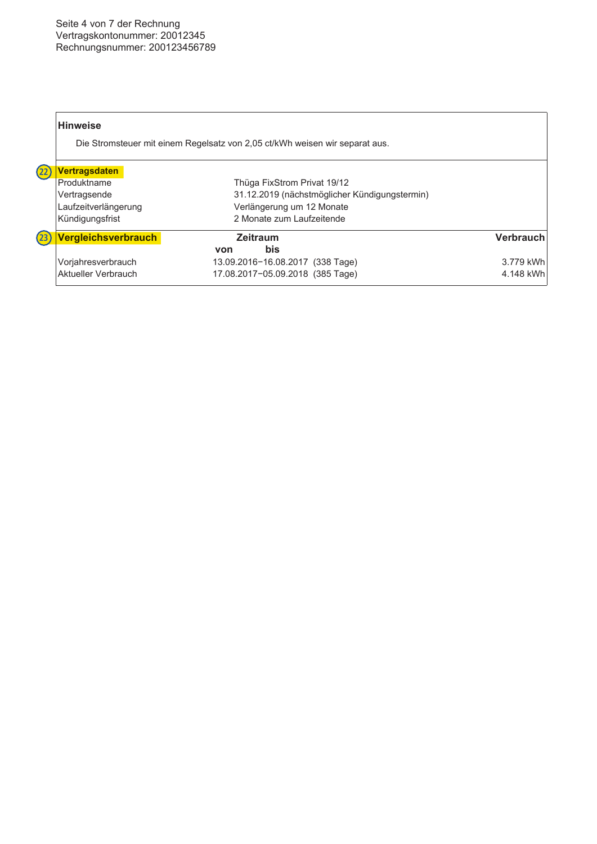# Seite 4 von 7 der Rechnung Vertragskontonummer: 20012345 Rechnungsnummer: 200123456789

|                    | <b>Hinweise</b>      | Die Stromsteuer mit einem Regelsatz von 2,05 ct/kWh weisen wir separat aus. |           |
|--------------------|----------------------|-----------------------------------------------------------------------------|-----------|
| (22)               | <b>Vertragsdaten</b> |                                                                             |           |
|                    | Produktname          | Thüga FixStrom Privat 19/12                                                 |           |
|                    | Vertragsende         | 31.12.2019 (nächstmöglicher Kündigungstermin)                               |           |
|                    | Laufzeitverlängerung | Verlängerung um 12 Monate                                                   |           |
|                    | Kündigungsfrist      | 2 Monate zum Laufzeitende                                                   |           |
| $\left( 23\right)$ | Vergleichsverbrauch  | <b>Zeitraum</b>                                                             | Verbrauch |
|                    |                      | <b>bis</b><br>von                                                           |           |
|                    | Vorjahresverbrauch   | 13.09.2016-16.08.2017 (338 Tage)                                            | 3.779 kWh |
|                    | Aktueller Verbrauch  | 17.08.2017-05.09.2018 (385 Tage)                                            | 4.148 kWh |